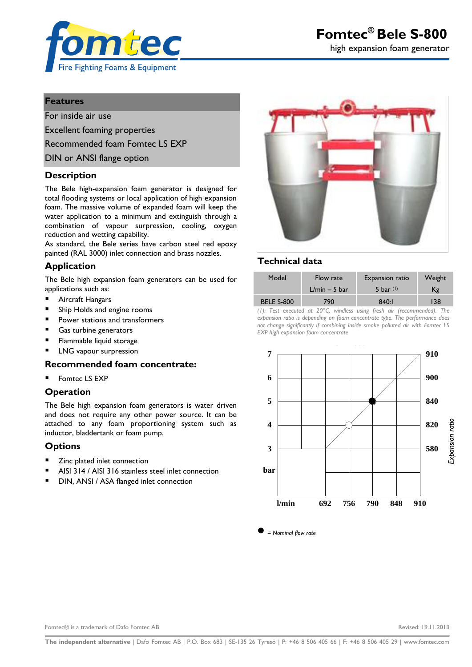

# **Features**

For inside air use

Excellent foaming properties

Recommended foam Fomtec LS EXP

DIN or ANSI flange option

## **Description**

The Bele high-expansion foam generator is designed for total flooding systems or local application of high expansion foam. The massive volume of expanded foam will keep the water application to a minimum and extinguish through a combination of vapour surpression, cooling, oxygen reduction and wetting capability.

As standard, the Bele series have carbon steel red epoxy painted (RAL 3000) inlet connection and brass nozzles.

# **Application**

The Bele high expansion foam generators can be used for applications such as:

- Aircraft Hangars
- Ship Holds and engine rooms
- **Power stations and transformers**
- Gas turbine generators
- **Flammable liquid storage**
- LNG vapour surpression

#### **Recommended foam concentrate:**

Fomtec LS EXP

## **Operation**

The Bele high expansion foam generators is water driven and does not require any other power source. It can be attached to any foam proportioning system such as inductor, bladdertank or foam pump.

#### **Options**

- Zinc plated inlet connection
- AISI 314 / AISI 316 stainless steel inlet connection
- DIN, ANSI / ASA flanged inlet connection



# **Technical data**

| Model             | Flow rate       | Expansion ratio | Weight |
|-------------------|-----------------|-----------------|--------|
|                   | $L/min - 5 bar$ | 5 bar $(1)$     | Κg     |
| <b>BELE S-800</b> | 790             | 840:1           | 138    |

*(1): Test executed at 20°C, windless using fresh air (recommended). The expansion ratio is depending on foam concentrate type. The performance does not change significantly if combining inside smoke polluted air with Fomtec LS EXP high expansion foam concentrate*



*= Nominal flow rate*